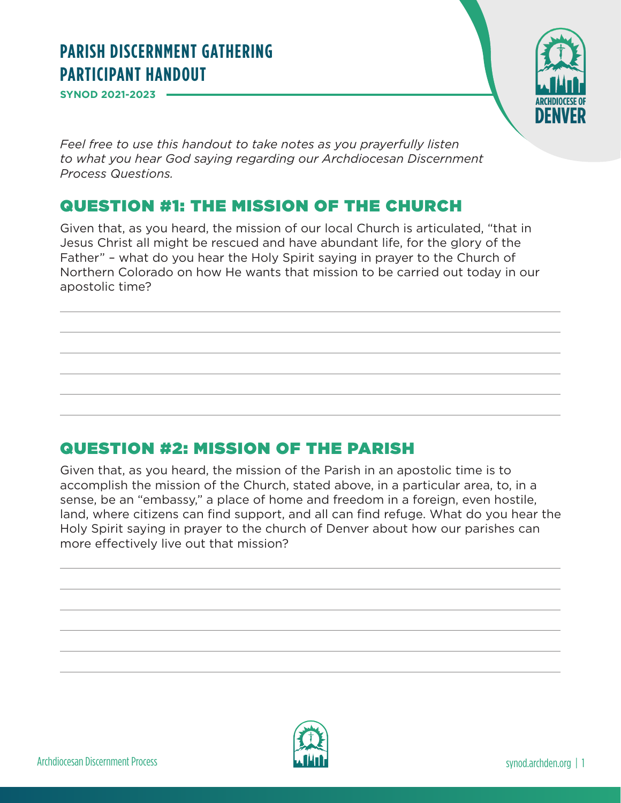## **PARISH DISCERNMENT GATHERING PARTICIPANT HANDOUT**

**SYNOD 2021-2023** 



*Feel free to use this handout to take notes as you prayerfully listen to what you hear God saying regarding our Archdiocesan Discernment Process Questions.*

## QUESTION #1: THE MISSION OF THE CHURCH

Given that, as you heard, the mission of our local Church is articulated, "that in Jesus Christ all might be rescued and have abundant life, for the glory of the Father" – what do you hear the Holy Spirit saying in prayer to the Church of Northern Colorado on how He wants that mission to be carried out today in our apostolic time?

## QUESTION #2: MISSION OF THE PARISH

Given that, as you heard, the mission of the Parish in an apostolic time is to accomplish the mission of the Church, stated above, in a particular area, to, in a sense, be an "embassy," a place of home and freedom in a foreign, even hostile, land, where citizens can find support, and all can find refuge. What do you hear the Holy Spirit saying in prayer to the church of Denver about how our parishes can more effectively live out that mission?